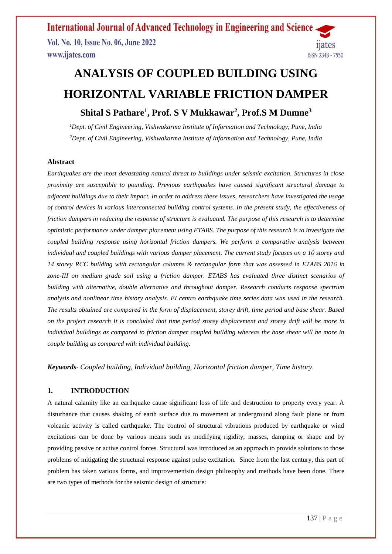**International Journal of Advanced Technology in Engineering and Science** Vol. No. 10, Issue No. 06, June 2022 11ates www.ijates.com **ISSN 2348 - 7550** 

# **ANALYSIS OF COUPLED BUILDING USING HORIZONTAL VARIABLE FRICTION DAMPER**

### **Shital S Pathare<sup>1</sup> , Prof. S V Mukkawar<sup>2</sup> , Prof.S M Dumne<sup>3</sup>**

*<sup>1</sup>Dept. of Civil Engineering, Vishwakarma Institute of Information and Technology, Pune, India <sup>2</sup>Dept. of Civil Engineering, Vishwakarma Institute of Information and Technology, Pune, India*

### **Abstract**

*Earthquakes are the most devastating natural threat to buildings under seismic excitation. Structures in close proximity are susceptible to pounding. Previous earthquakes have caused significant structural damage to adjacent buildings due to their impact. In order to address these issues, researchers have investigated the usage of control devices in various interconnected building control systems. In the present study, the effectiveness of friction dampers in reducing the response of structure is evaluated. The purpose of this research is to determine optimistic performance under damper placement using ETABS. The purpose of this research is to investigate the coupled building response using horizontal friction dampers. We perform a comparative analysis between individual and coupled buildings with various damper placement. The current study focuses on a 10 storey and 14 storey RCC building with rectangular columns & rectangular form that was assessed in ETABS 2016 in zone-III on medium grade soil using a friction damper. ETABS has evaluated three distinct scenarios of building with alternative, double alternative and throughout damper. Research conducts response spectrum analysis and nonlinear time history analysis. EI centro earthquake time series data was used in the research. The results obtained are compared in the form of displacement, storey drift, time period and base shear. Based on the project research It is concluded that time period storey displacement and storey drift will be more in individual buildings as compared to friction damper coupled building whereas the base shear will be more in couple building as compared with individual building.*

*Keywords- Coupled building, Individual building, Horizontal friction damper, Time history.*

### **1. INTRODUCTION**

A natural calamity like an earthquake cause significant loss of life and destruction to property every year. A disturbance that causes shaking of earth surface due to movement at underground along fault plane or from volcanic activity is called earthquake. The control of structural vibrations produced by earthquake or wind excitations can be done by various means such as modifying rigidity, masses, damping or shape and by providing passive or active control forces. Structural was introduced as an approach to provide solutions to those problems of mitigating the structural response against pulse excitation. Since from the last century, this part of problem has taken various forms, and improvementsin design philosophy and methods have been done. There are two types of methods for the seismic design of structure: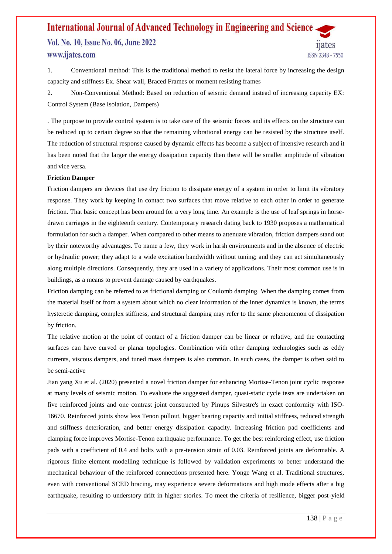### **International Journal of Advanced Technology in Engineering and Science** Vol. No. 10, Issue No. 06, June 2022 www.ijates.com **ISSN 2348 - 7550**

1. Conventional method: This is the traditional method to resist the lateral force by increasing the design capacity and stiffness Ex. Shear wall, Braced Frames or moment resisting frames

2. Non-Conventional Method: Based on reduction of seismic demand instead of increasing capacity EX: Control System (Base Isolation, Dampers)

. The purpose to provide control system is to take care of the seismic forces and its effects on the structure can be reduced up to certain degree so that the remaining vibrational energy can be resisted by the structure itself. The reduction of structural response caused by dynamic effects has become a subject of intensive research and it has been noted that the larger the energy dissipation capacity then there will be smaller amplitude of vibration and vice versa.

#### **Friction Damper**

Friction dampers are devices that use dry friction to dissipate energy of a system in order to limit its vibratory response. They work by keeping in contact two surfaces that move relative to each other in order to generate friction. That basic concept has been around for a very long time. An example is the use of leaf springs in horsedrawn carriages in the eighteenth century. Contemporary research dating back to 1930 proposes a mathematical formulation for such a damper. When compared to other means to attenuate vibration, friction dampers stand out by their noteworthy advantages. To name a few, they work in harsh environments and in the absence of electric or hydraulic power; they adapt to a wide excitation bandwidth without tuning; and they can act simultaneously along multiple directions. Consequently, they are used in a variety of applications. Their most common use is in buildings, as a means to prevent damage caused by earthquakes.

Friction damping can be referred to as frictional damping or Coulomb damping. When the damping comes from the material itself or from a system about which no clear information of the inner dynamics is known, the terms hysteretic damping, complex stiffness, and structural damping may refer to the same phenomenon of dissipation by friction.

The relative motion at the point of contact of a friction damper can be linear or relative, and the contacting surfaces can have curved or planar topologies. Combination with other damping technologies such as eddy currents, viscous dampers, and tuned mass dampers is also common. In such cases, the damper is often said to be semi-active

Jian yang Xu et al. (2020) presented a novel friction damper for enhancing Mortise-Tenon joint cyclic response at many levels of seismic motion. To evaluate the suggested damper, quasi-static cycle tests are undertaken on five reinforced joints and one contrast joint constructed by Pinups Silvestre's in exact conformity with ISO-16670. Reinforced joints show less Tenon pullout, bigger bearing capacity and initial stiffness, reduced strength and stiffness deterioration, and better energy dissipation capacity. Increasing friction pad coefficients and clamping force improves Mortise-Tenon earthquake performance. To get the best reinforcing effect, use friction pads with a coefficient of 0.4 and bolts with a pre-tension strain of 0.03. Reinforced joints are deformable. A rigorous finite element modelling technique is followed by validation experiments to better understand the mechanical behaviour of the reinforced connections presented here. Yonge Wang et al. Traditional structures, even with conventional SCED bracing, may experience severe deformations and high mode effects after a big earthquake, resulting to understory drift in higher stories. To meet the criteria of resilience, bigger post-yield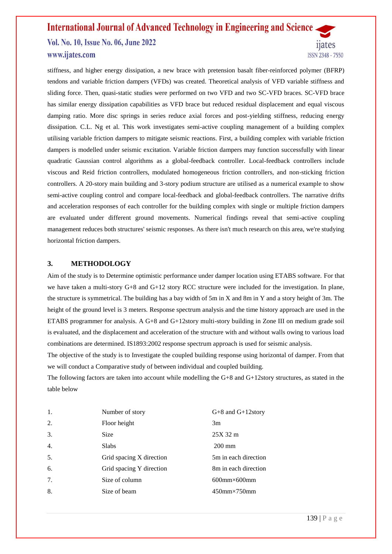Vol. No. 10, Issue No. 06, June 2022 www.ijates.com

11ates ISSN 2348 - 7550

stiffness, and higher energy dissipation, a new brace with pretension basalt fiber-reinforced polymer (BFRP) tendons and variable friction dampers (VFDs) was created. Theoretical analysis of VFD variable stiffness and sliding force. Then, quasi-static studies were performed on two VFD and two SC-VFD braces. SC-VFD brace has similar energy dissipation capabilities as VFD brace but reduced residual displacement and equal viscous damping ratio. More disc springs in series reduce axial forces and post-yielding stiffness, reducing energy dissipation. C.L. Ng et al. This work investigates semi-active coupling management of a building complex utilising variable friction dampers to mitigate seismic reactions. First, a building complex with variable friction dampers is modelled under seismic excitation. Variable friction dampers may function successfully with linear quadratic Gaussian control algorithms as a global-feedback controller. Local-feedback controllers include viscous and Reid friction controllers, modulated homogeneous friction controllers, and non-sticking friction controllers. A 20-story main building and 3-story podium structure are utilised as a numerical example to show semi-active coupling control and compare local-feedback and global-feedback controllers. The narrative drifts and acceleration responses of each controller for the building complex with single or multiple friction dampers are evaluated under different ground movements. Numerical findings reveal that semi-active coupling management reduces both structures' seismic responses. As there isn't much research on this area, we're studying horizontal friction dampers.

### **3. METHODOLOGY**

Aim of the study is to Determine optimistic performance under damper location using ETABS software. For that we have taken a multi-story G+8 and G+12 story RCC structure were included for the investigation. In plane, the structure is symmetrical. The building has a bay width of 5m in X and 8m in Y and a story height of 3m. The height of the ground level is 3 meters. Response spectrum analysis and the time history approach are used in the ETABS programmer for analysis. A G+8 and G+12story multi-story building in Zone III on medium grade soil is evaluated, and the displacement and acceleration of the structure with and without walls owing to various load combinations are determined. IS1893:2002 response spectrum approach is used for seismic analysis.

The objective of the study is to Investigate the coupled building response using horizontal of damper. From that we will conduct a Comparative study of between individual and coupled building.

The following factors are taken into account while modelling the G+8 and G+12story structures, as stated in the table below

| 1. | Number of story          | $G+8$ and $G+12$ story   |
|----|--------------------------|--------------------------|
| 2. | Floor height             | 3m                       |
| 3. | Size                     | 25X 32 m                 |
| 4. | <b>Slabs</b>             | $200 \text{ mm}$         |
| 5. | Grid spacing X direction | 5m in each direction     |
| 6. | Grid spacing Y direction | 8m in each direction     |
| 7. | Size of column           | $600$ mm $\times 600$ mm |
| 8. | Size of beam             | $450$ mm $\times$ 750mm  |
|    |                          |                          |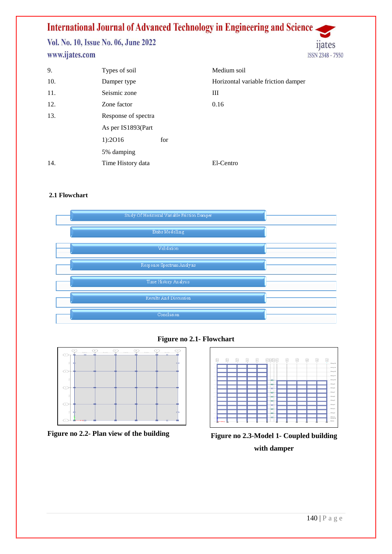Vol. No. 10, Issue No. 06, June 2022 www.ijates.com

| 9.  | Types of soil       |     | Medium soil                         |
|-----|---------------------|-----|-------------------------------------|
| 10. | Damper type         |     | Horizontal variable friction damper |
| 11. | Seismic zone        |     | Ш                                   |
| 12. | Zone factor         |     | 0.16                                |
| 13. | Response of spectra |     |                                     |
|     | As per IS1893(Part  |     |                                     |
|     | 1):2016             | for |                                     |
|     | 5% damping          |     |                                     |
| 14. | Time History data   |     | El-Centro                           |

### **2.1 Flowchart**



**Figure no 2.1- Flowchart**





**Figure no 2.2- Plan view of the building Figure no 2.3-Model 1- Coupled building with damper**

ijates

ISSN 2348 - 7550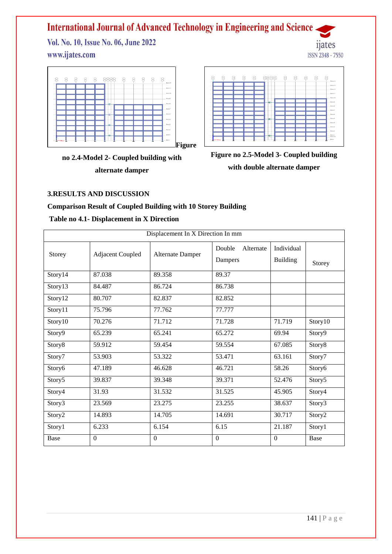Vol. No. 10, Issue No. 06, June 2022 www.ijates.com



**no 2.4-Model 2- Coupled building with alternate damper**



*n*ates

ISSN 2348 - 7550

**Figure no 2.5-Model 3- Coupled building with double alternate damper**

### **3.RESULTS AND DISCUSSION**

### **Comparison Result of Coupled Building with 10 Storey Building**

### **Table no 4.1- Displacement in X Direction**

| Displacement In X Direction In mm |                         |                         |                                |                               |         |  |
|-----------------------------------|-------------------------|-------------------------|--------------------------------|-------------------------------|---------|--|
| Storey                            | <b>Adjacent Coupled</b> | <b>Alternate Damper</b> | Double<br>Alternate<br>Dampers | Individual<br><b>Building</b> | Storey  |  |
| Story14                           | 87.038                  | 89.358                  | 89.37                          |                               |         |  |
| Story13                           | 84.487                  | 86.724                  | 86.738                         |                               |         |  |
| Story12                           | 80.707                  | 82.837                  | 82.852                         |                               |         |  |
| Story11                           | 75.796                  | 77.762                  | 77.777                         |                               |         |  |
| Story10                           | 70.276                  | 71.712                  | 71.728                         | 71.719                        | Story10 |  |
| Story9                            | 65.239                  | 65.241                  | 65.272                         | 69.94                         | Story9  |  |
| Story8                            | 59.912                  | 59.454                  | 59.554                         | 67.085                        | Story8  |  |
| Story7                            | 53.903                  | 53.322                  | 53.471                         | 63.161                        | Story7  |  |
| Story6                            | 47.189                  | 46.628                  | 46.721                         | 58.26                         | Story6  |  |
| Story5                            | 39.837                  | 39.348                  | 39.371                         | 52.476                        | Story5  |  |
| Story4                            | 31.93                   | 31.532                  | 31.525                         | 45.905                        | Story4  |  |
| Story3                            | 23.569                  | 23.275                  | 23.255                         | 38.637                        | Story3  |  |
| Story2                            | 14.893                  | 14.705                  | 14.691                         | 30.717                        | Story2  |  |
| Story1                            | 6.233                   | 6.154                   | 6.15                           | 21.187                        | Story1  |  |
| Base                              | $\Omega$                | $\Omega$                | $\Omega$                       | $\theta$                      | Base    |  |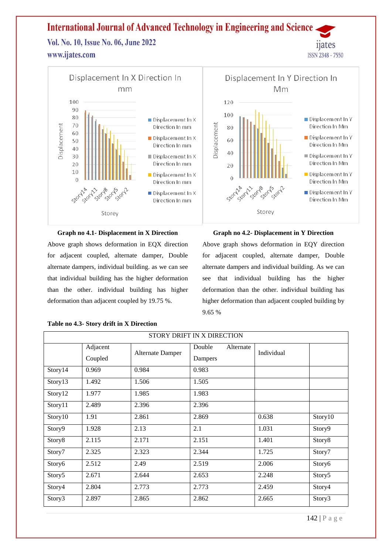Vol. No. 10, Issue No. 06, June 2022 www.ijates.com



### **Graph no 4.1- Displacement in X Direction**

Above graph shows deformation in EQX direction for adjacent coupled, alternate damper, Double alternate dampers, individual building. as we can see that individual building has the higher deformation than the other. individual building has higher deformation than adjacent coupled by 19.75 %.

#### **Table no 4.3- Story drift in X Direction**

### **Graph no 4.2- Displacement in Y Direction**

*n*ates

ISSN 2348 - 7550

Above graph shows deformation in EQY direction for adjacent coupled, alternate damper, Double alternate dampers and individual building. As we can see that individual building has the higher deformation than the other. individual building has higher deformation than adjacent coupled building by 9.65 %

| STORY DRIFT IN X DIRECTION |                     |                  |                                |            |         |  |
|----------------------------|---------------------|------------------|--------------------------------|------------|---------|--|
|                            | Adjacent<br>Coupled | Alternate Damper | Double<br>Alternate<br>Dampers | Individual |         |  |
| Story14                    | 0.969               | 0.984            | 0.983                          |            |         |  |
| Story13                    | 1.492               | 1.506            | 1.505                          |            |         |  |
| Story12                    | 1.977               | 1.985            | 1.983                          |            |         |  |
| Story11                    | 2.489               | 2.396            | 2.396                          |            |         |  |
| Story10                    | 1.91                | 2.861            | 2.869                          | 0.638      | Story10 |  |
| Story9                     | 1.928               | 2.13             | 2.1                            | 1.031      | Story9  |  |
| Story8                     | 2.115               | 2.171            | 2.151                          | 1.401      | Story8  |  |
| Story7                     | 2.325               | 2.323            | 2.344                          | 1.725      | Story7  |  |
| Story6                     | 2.512               | 2.49             | 2.519                          | 2.006      | Story6  |  |
| Story5                     | 2.671               | 2.644            | 2.653                          | 2.248      | Story5  |  |
| Story4                     | 2.804               | 2.773            | 2.773                          | 2.459      | Story4  |  |
| Story3                     | 2.897               | 2.865            | 2.862                          | 2.665      | Story3  |  |

142 | P a g e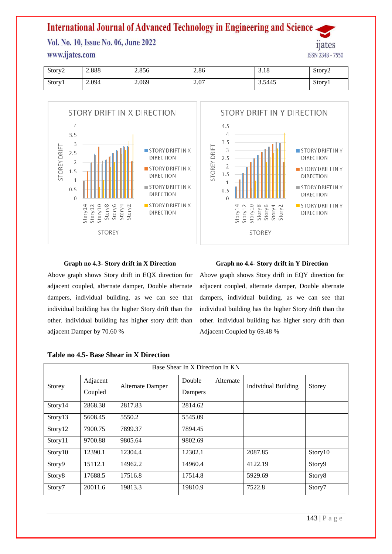Vol. No. 10, Issue No. 06, June 2022

### www.ijates.com

| Story <sub>2</sub> | 2.888 | 2.856 | 2.86 | $\overline{10}$<br>3.10 | Story <sub>2</sub> |
|--------------------|-------|-------|------|-------------------------|--------------------|
| Story1             | 2.094 | 2.069 | 2.07 | 3.5445                  | Story1             |



### **Graph no 4.3- Story drift in X Direction**

Above graph shows Story drift in EQX direction for adjacent coupled, alternate damper, Double alternate dampers, individual building. as we can see that individual building has the higher Story drift than the other. individual building has higher story drift than adjacent Damper by 70.60 %

### **Graph no 4.4- Story drift in Y Direction**

Above graph shows Story drift in EQY direction for adjacent coupled, alternate damper, Double alternate dampers, individual building. as we can see that individual building has the higher Story drift than the other. individual building has higher story drift than Adjacent Coupled by 69.48 %

| Base Shear In X Direction In KN |                     |                  |                   |           |                            |         |  |
|---------------------------------|---------------------|------------------|-------------------|-----------|----------------------------|---------|--|
| Storey                          | Adjacent<br>Coupled | Alternate Damper | Double<br>Dampers | Alternate | <b>Individual Building</b> | Storey  |  |
| Story14                         | 2868.38             | 2817.83          | 2814.62           |           |                            |         |  |
| Story13                         | 5608.45             | 5550.2           | 5545.09           |           |                            |         |  |
| Story12                         | 7900.75             | 7899.37          | 7894.45           |           |                            |         |  |
| Story11                         | 9700.88             | 9805.64          | 9802.69           |           |                            |         |  |
| Story10                         | 12390.1             | 12304.4          | 12302.1           |           | 2087.85                    | Story10 |  |
| Story9                          | 15112.1             | 14962.2          | 14960.4           |           | 4122.19                    | Story9  |  |
| Story8                          | 17688.5             | 17516.8          | 17514.8           |           | 5929.69                    | Story8  |  |
| Story7                          | 20011.6             | 19813.3          | 19810.9           |           | 7522.8                     | Story7  |  |

### **Table no 4.5- Base Shear in X Direction**

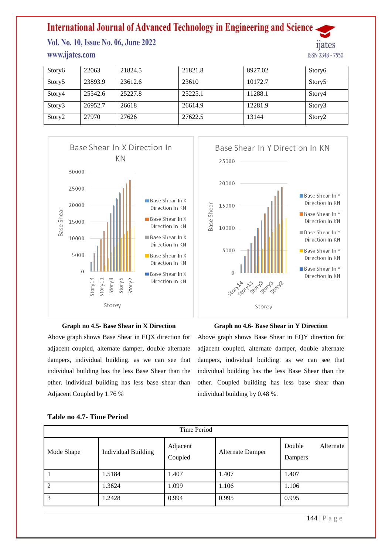Vol. No. 10, Issue No. 06, June 2022 www.ijates.com



| Story6             | 22063   | 21824.5 | 21821.8 | 8927.02 | Story6             |
|--------------------|---------|---------|---------|---------|--------------------|
| Story <sub>5</sub> | 23893.9 | 23612.6 | 23610   | 10172.7 | Story <sub>5</sub> |
| Story4             | 25542.6 | 25227.8 | 25225.1 | 11288.1 | Story4             |
| Story3             | 26952.7 | 26618   | 26614.9 | 12281.9 | Story3             |
| Story <sub>2</sub> | 27970   | 27626   | 27622.5 | 13144   | Story <sub>2</sub> |





Above graph shows Base Shear in EQX direction for adjacent coupled, alternate damper, double alternate dampers, individual building. as we can see that individual building has the less Base Shear than the other. individual building has less base shear than Adjacent Coupled by 1.76 %



### **Graph no 4.6- Base Shear in Y Direction**

Above graph shows Base Shear in EQY direction for adjacent coupled, alternate damper, double alternate dampers, individual building. as we can see that individual building has the less Base Shear than the other. Coupled building has less base shear than individual building by 0.48 %.

| Time Period   |                            |                     |                  |                                |  |  |
|---------------|----------------------------|---------------------|------------------|--------------------------------|--|--|
| Mode Shape    | <b>Individual Building</b> | Adjacent<br>Coupled | Alternate Damper | Double<br>Alternate<br>Dampers |  |  |
|               | 1.5184                     | 1.407               | 1.407            | 1.407                          |  |  |
| $\mathcal{D}$ | 1.3624                     | 1.099               | 1.106            | 1.106                          |  |  |
| 3             | 1.2428                     | 0.994               | 0.995            | 0.995                          |  |  |

### **Table no 4.7- Time Period**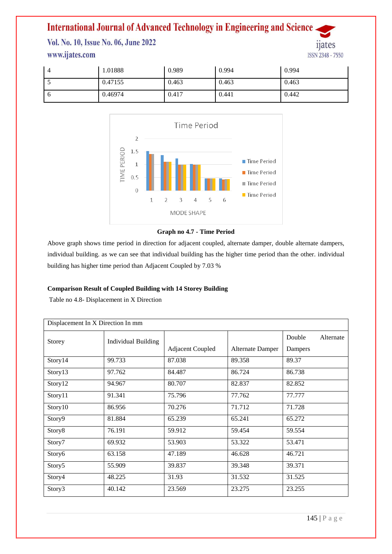Vol. No. 10, Issue No. 06, June 2022 www.ijates.com



| $\sqrt{ }$ | 1.01888 | 0.989 | 0.994 | 0.994 |
|------------|---------|-------|-------|-------|
| ◡          | 0.47155 | 0.463 | 0.463 | 0.463 |
| - 6        | 0.46974 | 0.417 | 0.441 | 0.442 |



### **Graph no 4.7 - Time Period**

Above graph shows time period in direction for adjacent coupled, alternate damper, double alternate dampers, individual building. as we can see that individual building has the higher time period than the other. individual building has higher time period than Adjacent Coupled by 7.03 %

### **Comparison Result of Coupled Building with 14 Storey Building**

Table no 4.8- Displacement in X Direction

| Displacement In X Direction In mm |                            |                         |                  |                     |  |
|-----------------------------------|----------------------------|-------------------------|------------------|---------------------|--|
| Storey                            | <b>Individual Building</b> |                         |                  | Double<br>Alternate |  |
|                                   |                            | <b>Adjacent Coupled</b> | Alternate Damper | Dampers             |  |
| Story14                           | 99.733                     | 87.038                  | 89.358           | 89.37               |  |
| Story13                           | 97.762                     | 84.487                  | 86.724           | 86.738              |  |
| Story12                           | 94.967                     | 80.707                  | 82.837           | 82.852              |  |
| Story11                           | 91.341                     | 75.796                  | 77.762           | 77.777              |  |
| Story10                           | 86.956                     | 70.276                  | 71.712           | 71.728              |  |
| Story9                            | 81.884                     | 65.239                  | 65.241           | 65.272              |  |
| Story8                            | 76.191                     | 59.912                  | 59.454           | 59.554              |  |
| Story7                            | 69.932                     | 53.903                  | 53.322           | 53.471              |  |
| Story6                            | 63.158                     | 47.189                  | 46.628           | 46.721              |  |
| Story5                            | 55.909                     | 39.837                  | 39.348           | 39.371              |  |
| Story4                            | 48.225                     | 31.93                   | 31.532           | 31.525              |  |
| Story3                            | 40.142                     | 23.569                  | 23.275           | 23.255              |  |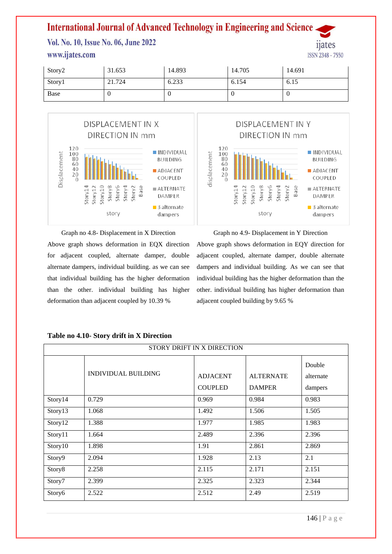Vol. No. 10, Issue No. 06, June 2022

### www.ijates.com

| Story2 | 31.653 | 14.893 | 14.705 | 14.691 |
|--------|--------|--------|--------|--------|
| Story1 | 21.724 | 6.233  | 6.154  | 6.15   |
| Base   | -V     |        | υ      |        |





Graph no 4.8- Displacement in X Direction Above graph shows deformation in EQX direction for adjacent coupled, alternate damper, double alternate dampers, individual building. as we can see that individual building has the higher deformation than the other. individual building has higher deformation than adjacent coupled by 10.39 %

Graph no 4.9- Displacement in Y Direction Above graph shows deformation in EQY direction for adjacent coupled, alternate damper, double alternate dampers and individual building. As we can see that individual building has the higher deformation than the other. individual building has higher deformation than adjacent coupled building by 9.65 %

| STORY DRIFT IN X DIRECTION |                     |                                   |                                   |                                |  |  |
|----------------------------|---------------------|-----------------------------------|-----------------------------------|--------------------------------|--|--|
|                            | INDIVIDUAL BUILDING | <b>ADJACENT</b><br><b>COUPLED</b> | <b>ALTERNATE</b><br><b>DAMPER</b> | Double<br>alternate<br>dampers |  |  |
| Story14                    | 0.729               | 0.969                             | 0.984                             | 0.983                          |  |  |
| Story13                    | 1.068               | 1.492                             | 1.506                             | 1.505                          |  |  |
| Story12                    | 1.388               | 1.977                             | 1.985                             | 1.983                          |  |  |
| Story11                    | 1.664               | 2.489                             | 2.396                             | 2.396                          |  |  |
| Story10                    | 1.898               | 1.91                              | 2.861                             | 2.869                          |  |  |
| Story9                     | 2.094               | 1.928                             | 2.13                              | 2.1                            |  |  |
| Story8                     | 2.258               | 2.115                             | 2.171                             | 2.151                          |  |  |
| Story7                     | 2.399               | 2.325                             | 2.323                             | 2.344                          |  |  |
| Story6                     | 2.522               | 2.512                             | 2.49                              | 2.519                          |  |  |

### **Table no 4.10- Story drift in X Direction**

*n*ates

ISSN 2348 - 7550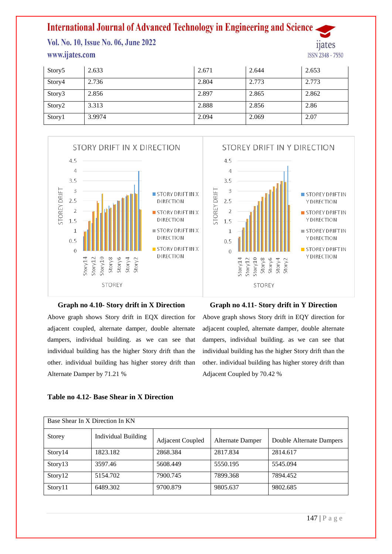Vol. No. 10, Issue No. 06, June 2022 www.ijates.com

11ates ISSN 2348 - 7550

| Story5 | 2.633  | 2.671 | 2.644 | 2.653 |
|--------|--------|-------|-------|-------|
| Story4 | 2.736  | 2.804 | 2.773 | 2.773 |
| Story3 | 2.856  | 2.897 | 2.865 | 2.862 |
| Story2 | 3.313  | 2.888 | 2.856 | 2.86  |
| Story1 | 3.9974 | 2.094 | 2.069 | 2.07  |



#### **Graph no 4.10- Story drift in X Direction**

Above graph shows Story drift in EQX direction for adjacent coupled, alternate damper, double alternate dampers, individual building. as we can see that individual building has the higher Story drift than the other. individual building has higher storey drift than Alternate Damper by 71.21 %

### **Graph no 4.11- Story drift in Y Direction**

Above graph shows Story drift in EQY direction for adjacent coupled, alternate damper, double alternate dampers, individual building. as we can see that individual building has the higher Story drift than the other. individual building has higher storey drift than Adjacent Coupled by 70.42 %

| Base Shear In X Direction In KN |                            |                         |                         |                          |  |
|---------------------------------|----------------------------|-------------------------|-------------------------|--------------------------|--|
| Storey                          | <b>Individual Building</b> | <b>Adjacent Coupled</b> | <b>Alternate Damper</b> | Double Alternate Dampers |  |
| Story14                         | 1823.182                   | 2868.384                | 2817.834                | 2814.617                 |  |
| Story13                         | 3597.46                    | 5608.449                | 5550.195                | 5545.094                 |  |
| Story12                         | 5154.702                   | 7900.745                | 7899.368                | 7894.452                 |  |
| Story11                         | 6489.302                   | 9700.879                | 9805.637                | 9802.685                 |  |

#### **Table no 4.12- Base Shear in X Direction**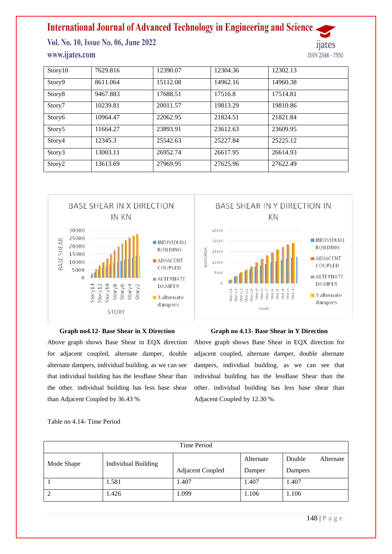Vol. No. 10, Issue No. 06, June 2022 www.ijates.com

Story10 | 7629.816 | 12390.07 | 12304.36 | 12302.13 Story9 | 8611.064 | 15112.08 | 14962.16 | 14960.38 Story8 9467.883 17688.51 17516.8 17514.81 Story7 10239.81 20011.57 19813.29 19810.86 Story6 | 10964.47 | 22062.95 | 21824.51 | 21821.84 Story5 11664.27 23893.91 23612.63 23609.95 Story4 12345.3 25542.63 25227.84 25225.12 Story3 13003.11 26952.74 26617.95 26614.93 Story2 | 13613.69 | 27969.95 | 27625.96 | 27622.49



#### **Graph no4.12- Base Shear in X Direction**

Above graph shows Base Shear in EQX direction for adjacent coupled, alternate damper, double alternate dampers, individual building. as we can see that individual building has the lessBase Shear than the other. individual building has less base shear than Adjacent Coupled by 36.43 %



*n*ates

ISSN 2348 - 7550

#### **Graph no 4.13- Base Shear in Y Direction**

Above graph shows Base Shear in EQX direction for adjacent coupled, alternate damper, double alternate dampers, individual building. as we can see that individual building has the lessBase Shear than the other. individual building has less base shear than Adjacent Coupled by 12.30 %.

Table no 4.14- Time Period

| Time Period |                            |                         |           |                     |  |
|-------------|----------------------------|-------------------------|-----------|---------------------|--|
| Mode Shape  | <b>Individual Building</b> |                         | Alternate | Double<br>Alternate |  |
|             |                            | <b>Adjacent Coupled</b> | Damper    | Dampers             |  |
|             | 1.581                      | 1.407                   | 1.407     | 1.407               |  |
| 2           | 1.426                      | 1.099                   | 1.106     | 1.106               |  |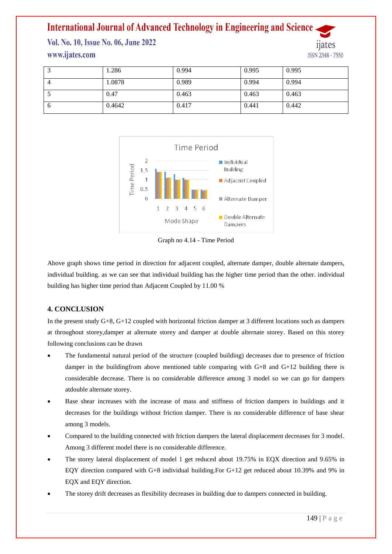Vol. No. 10, Issue No. 06, June 2022 www.ijates.com

**ISSN 2348 - 7550** 

|          | 1.286  | 0.994 | 0.995 | 0.995 |
|----------|--------|-------|-------|-------|
|          | 1.0878 | 0.989 | 0.994 | 0.994 |
|          | 0.47   | 0.463 | 0.463 | 0.463 |
| $\sigma$ | 0.4642 | 0.417 | 0.441 | 0.442 |



Graph no 4.14 - Time Period

Above graph shows time period in direction for adjacent coupled, alternate damper, double alternate dampers, individual building. as we can see that individual building has the higher time period than the other. individual building has higher time period than Adjacent Coupled by 11.00 %

### **4. CONCLUSION**

In the present study G+8, G+12 coupled with horizontal friction damper at 3 different locations such as dampers at throughout storey,damper at alternate storey and damper at double alternate storey. Based on this storey following conclusions can be drawn

- The fundamental natural period of the structure (coupled building) decreases due to presence of friction damper in the buildingfrom above mentioned table comparing with G+8 and G+12 building there is considerable decrease. There is no considerable difference among 3 model so we can go for dampers atdouble alternate storey.
- Base shear increases with the increase of mass and stiffness of friction dampers in buildings and it decreases for the buildings without friction damper. There is no considerable difference of base shear among 3 models.
- Compared to the building connected with friction dampers the lateral displacement decreases for 3 model. Among 3 different model there is no considerable difference.
- The storey lateral displacement of model 1 get reduced about 19.75% in EQX direction and 9.65% in EQY direction compared with G+8 individual building.For G+12 get reduced about 10.39% and 9% in EQX and EQY direction.
- The storey drift decreases as flexibility decreases in building due to dampers connected in building.